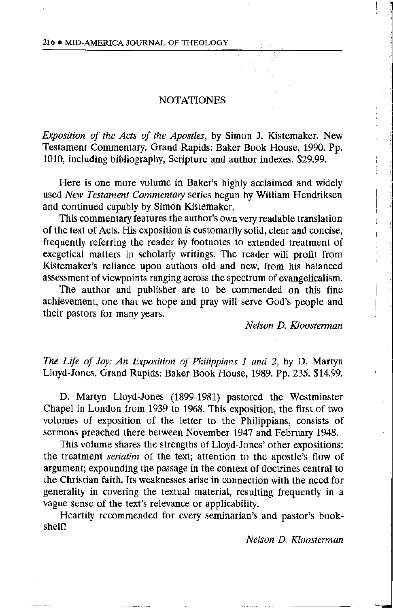## **NOTATIONES**

Exposition of the Acts of the Apostles, by Simon J. Kistemaker. New Testament Commentary. Grand Rapids: Baker Book House, 1990. Pp. 1010, including bibliography, Scripture and author indexes. \$29.99.

Here is one more volume in Baker's highly acclaimed and widely used New Testament Commentary series begun by William Hendriksen and continued capably by Simon Kistemaker.

This commentary features the author's own very readable translation of the text of Acts. His exposition is customarily solid, clear and concise, frequently referring the reader by footnotes to extended treatment of exegetical matters in scholarly writings. The reader will profit from Kistemaker's reliance upon authors old and new, from his balanced assessment of viewpoints ranging across the spectrum of evangelicalism.

The author and publisher are to be commended on this fine achievement, one that we hope and pray will serve God's people and their pastors for many years.

Nelson D. Kloosterman

The Life of Joy: An Exposition of Philippians 1 and 2, by D. Martyn Lloyd-Jones. Grand Rapids: Baker Book House, 1989. Pp. 235. \$14.99.

D. Martyn Lloyd-Jones (1899-1981) pastored the Westminster Chapel in London from 1939 to 1968. This exposition, the first of two volumes of exposition of the letter to the Philippians, consists of sermons preached there between November 1947 and February 1948.

This volume shares the strengths of Lloyd-Jones' other expositions: the treatment *seriatim* of the text; attention to the apostle's flow of argument; expounding the passage in the context of doctrines central to the Christian faith. Its weaknesses arise in connection with the need for generality in covering the textual material, resulting frequently in a vague sense of the text's relevance or applicability.

Heartily recommended for every seminarian's and pastor's bookshelf!

Nelson D. Kloosterman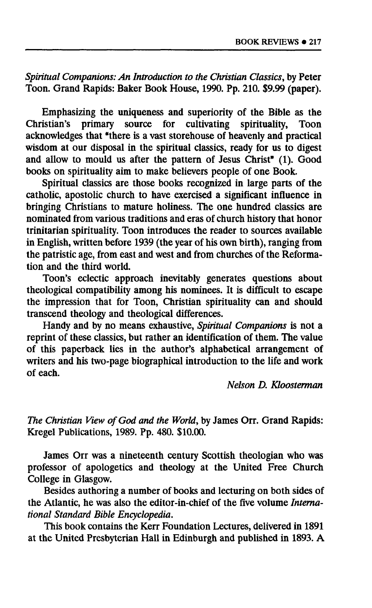*Spiritual Companions: An Introduction to the Christian Classics,* **by Peter Toon. Grand Rapids: Baker Book House, 1990. Pp. 210. \$9.99 (paper).** 

**Emphasizing the uniqueness and superiority of the Bible as the Christian's primary source for cultivating spirituality, Toon acknowledges that "there is a vast storehouse of heavenly and practical wisdom at our disposal in the spiritual classics, ready for us to digest and allow to mould us after the pattern of Jesus Christ" (1). Good books on spirituality aim to make believers people of one Book.** 

**Spiritual classics are those books recognized in large parts of the catholic, apostolic church to have exercised a significant influence in bringing Christians to mature holiness. The one hundred classics are nominated from various traditions and eras of church history that honor trinitarian spirituality. Toon introduces the reader to sources available in English, written before 1939 (the year of his own birth), ranging from the patristic age, from east and west and from churches of the Reformation and the third world.** 

**Toon's eclectic approach inevitably generates questions about theological compatibility among his nominees. It is difficult to escape the impression that for Toon, Christian spirituality can and should transcend theology and theological differences.** 

**Handy and by no means exhaustive,** *Spiritual Companions* **is not a reprint of these classics, but rather an identification of them. The value of this paperback lies in the author's alphabetical arrangement of writers and his two-page biographical introduction to the life and work of each.** 

*Nelson D, Kloosterman* 

*The Christian View of God and the World,* **by James Orr. Grand Rapids: Kregel Publications, 1989. Pp. 480. \$10.00.** 

**James Orr was a nineteenth century Scottish theologian who was professor of apologetics and theology at the United Free Church College in Glasgow.** 

**Besides authoring a number of books and lecturing on both sides of the Atlantic, he was also the editor-in-chief of the five volume** *International Standard Bible Encyclopedia.* 

**This book contains the Kerr Foundation Lectures, delivered in 1891 at the United Presbyterian Hall in Edinburgh and published in 1893. A**